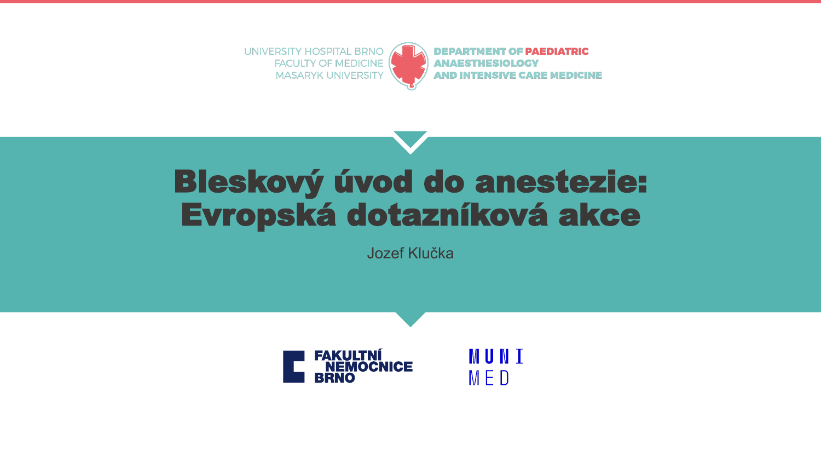



**DEPARTMENT OF PAEDIATRIC ANAESTHESIOLOGY AND INTENSIVE CARE MEDICINE** 

# Bleskový úvod do anestezie: Evropská dotazníková akce

Jozef Klučka



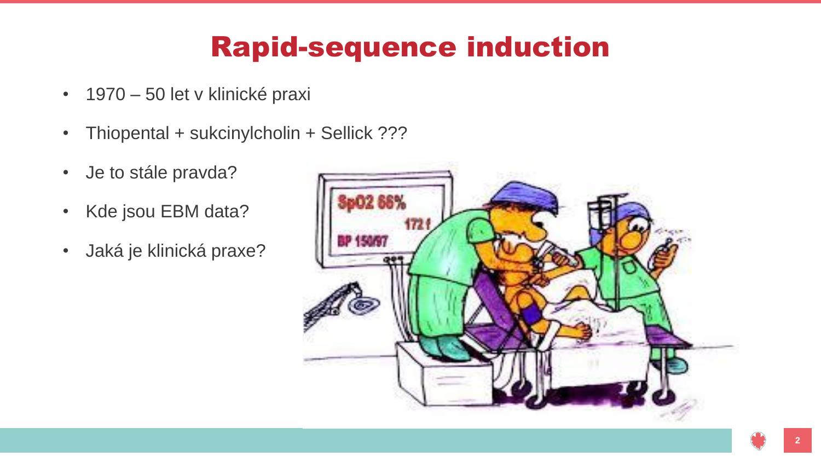# Rapid-sequence induction

- 1970 50 let v klinické praxi
- Thiopental + sukcinylcholin + Sellick ???
- Je to stále pravda?
- Kde jsou EBM data?
- Jaká je klinická praxe?

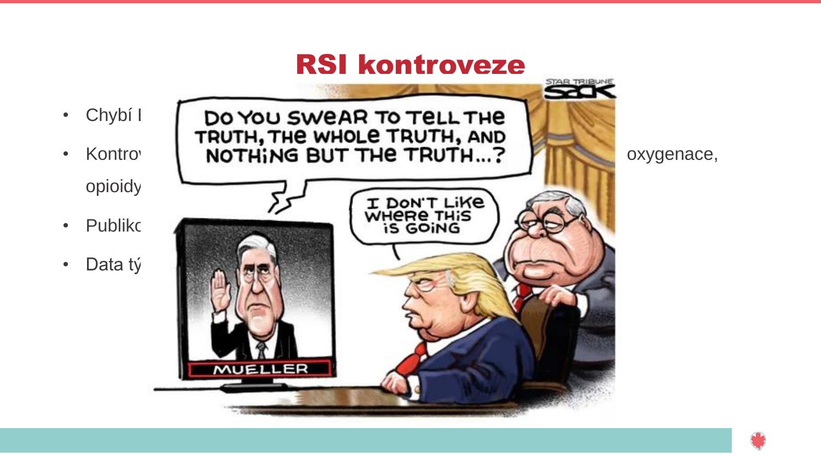

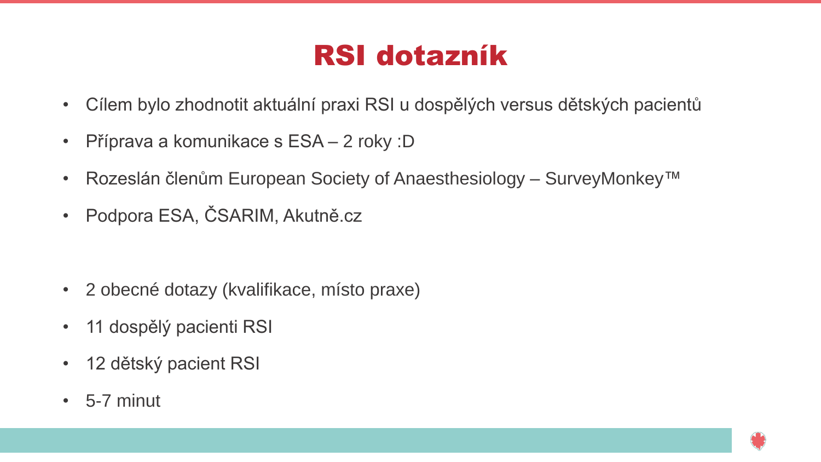## RSI dotazník

- Cílem bylo zhodnotit aktuální praxi RSI u dospělých versus dětských pacientů
- Příprava a komunikace s ESA 2 roky :D
- Rozeslán členům European Society of Anaesthesiology SurveyMonkey™
- Podpora ESA, ČSARIM, Akutně.cz

- 2 obecné dotazy (kvalifikace, místo praxe)
- 11 dospělý pacienti RSI
- 12 dětský pacient RSI
- $\cdot$  5-7 minut

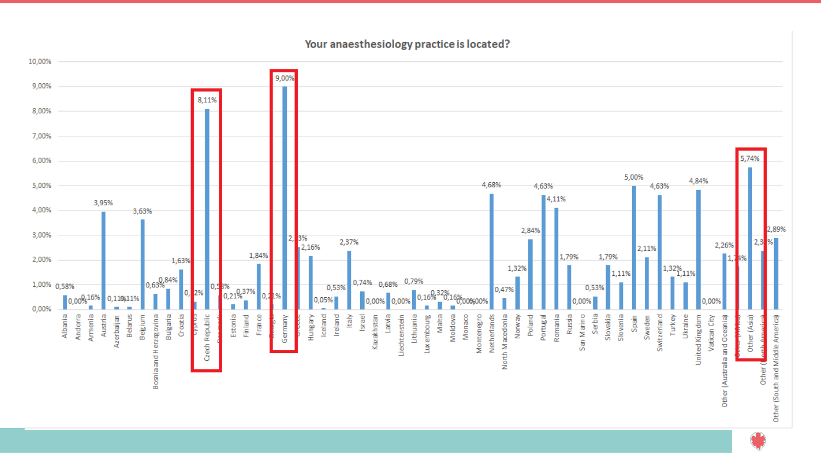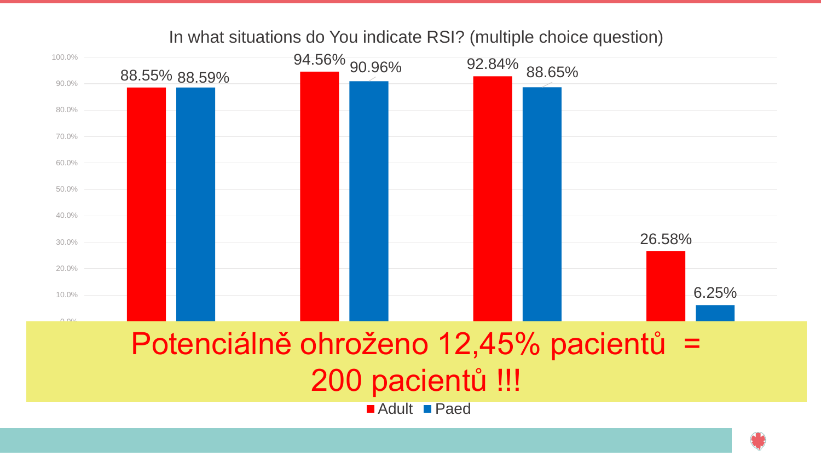### In what situations do You indicate RSI? (multiple choice question)

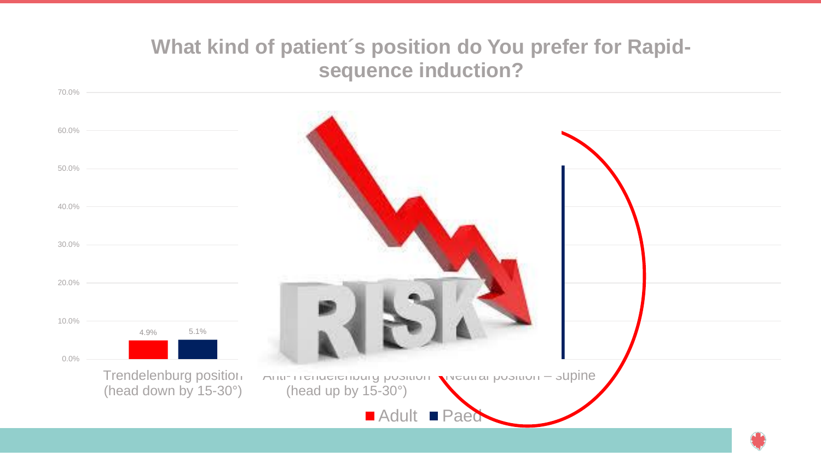## **What kind of patient´s position do You prefer for Rapidsequence induction?**

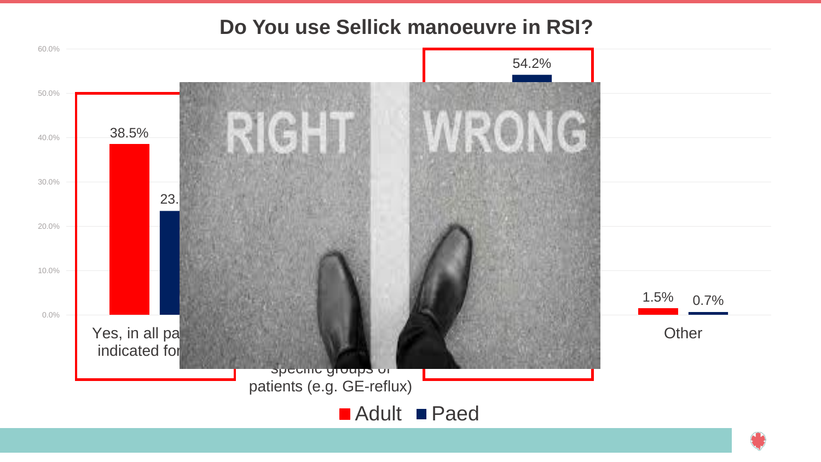## **Do You use Sellick manoeuvre in RSI?**

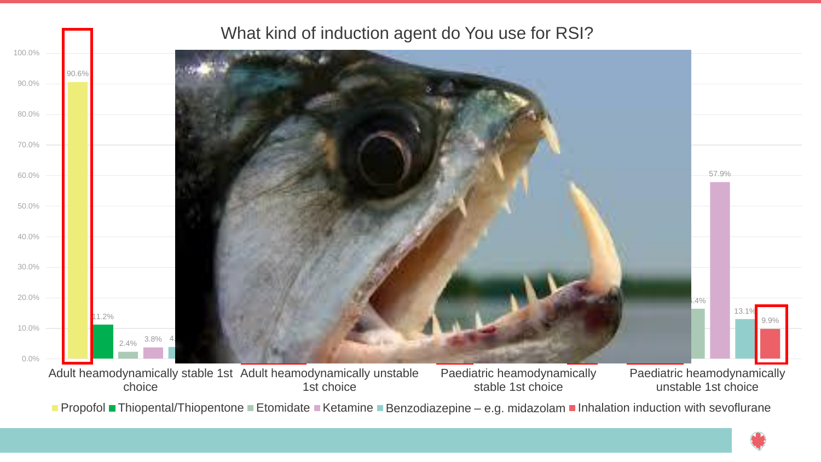

■ Propofol ■ Thiopental/Thiopentone ■ Etomidate ■ Ketamine ■ Benzodiazepine – e.g. midazolam ■ Inhalation induction with sevoflurane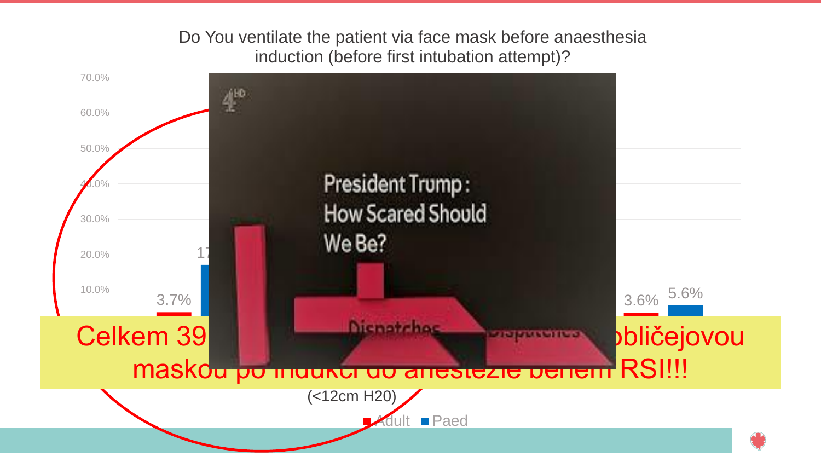### Do You ventilate the patient via face mask before anaesthesia induction (before first intubation attempt)?